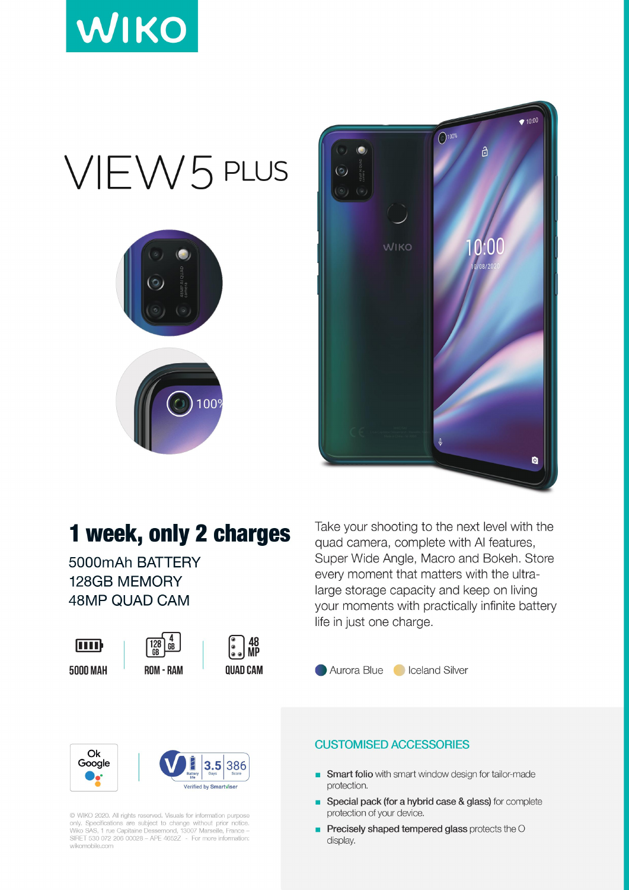

# VIEW5 PLUS





### 1 week, only 2 charges

5000mAh BATTERY **128GB MEMORY 48MP QUAD CAM** 



**5000 MAH** 

| 128   | ĥR |
|-------|----|
| KUM - | KД |



48<br>MP **QUAD CAM** 



C WIKO 2020. All rights reserved. Visuals for information purpose only. Specifications are subject to change without prior notice.<br>Wiko SAS, 1 rue Capitaine Dessemond, 13007 Marseille, France –<br>SIRET 530 072 206 00028 – APE 4652Z - For more information: wikomobile.com

Take your shooting to the next level with the quad camera, complete with AI features, Super Wide Angle, Macro and Bokeh. Store every moment that matters with the ultralarge storage capacity and keep on living your moments with practically infinite battery life in just one charge.

#### Aurora Blue Colceland Silver

#### **CUSTOMISED ACCESSORIES**

- Smart folio with smart window design for tailor-made  $\blacksquare$ protection.
- Special pack (for a hybrid case & glass) for complete protection of your device.
- Precisely shaped tempered glass protects the O п display.